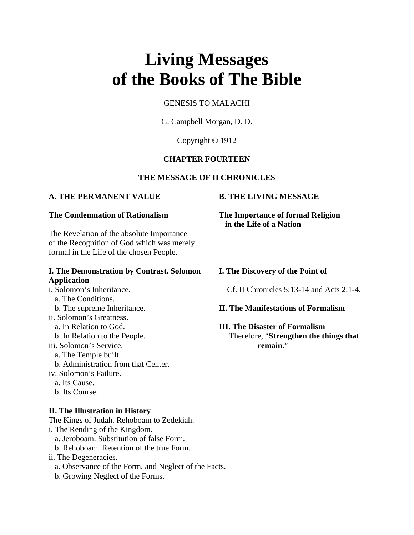# **Living Messages of the Books of The Bible**

# GENESIS TO MALACHI

G. Campbell Morgan, D. D.

Copyright © 1912

# **CHAPTER FOURTEEN**

# **THE MESSAGE OF II CHRONICLES**

# **A. THE PERMANENT VALUE B. THE LIVING MESSAGE**

The Revelation of the absolute Importance of the Recognition of God which was merely formal in the Life of the chosen People.

# **I. The Demonstration by Contrast. Solomon I. The Discovery of the Point of Application**

### a. The Conditions.

ii. Solomon's Greatness.

iii. Solomon's Service. **remain**."

a. The Temple built.

b. Administration from that Center.

iv. Solomon's Failure.

- a. Its Cause.
- b. Its Course.

### **II. The Illustration in History**

The Kings of Judah. Rehoboam to Zedekiah.

- i. The Rending of the Kingdom.
	- a. Jeroboam. Substitution of false Form.
	- b. Rehoboam. Retention of the true Form.
- ii. The Degeneracies.
	- a. Observance of the Form, and Neglect of the Facts.
	- b. Growing Neglect of the Forms.

**The Condemnation of Rationalism The Importance of formal Religion in the Life of a Nation**

i. Solomon's Inheritance. Cf. II Chronicles 5:13-14 and Acts 2:1-4.

# b. The supreme Inheritance. **II. The Manifestations of Formalism**

### a. In Relation to God. **III. The Disaster of Formalism**

b. In Relation to the People. Therefore, "**Strengthen the things that**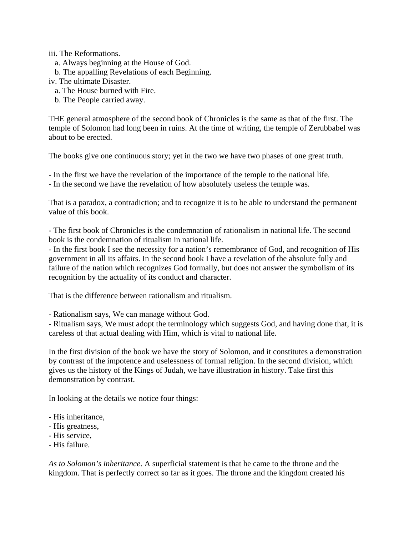iii. The Reformations.

- a. Always beginning at the House of God.
- b. The appalling Revelations of each Beginning.

iv. The ultimate Disaster.

- a. The House burned with Fire.
- b. The People carried away.

THE general atmosphere of the second book of Chronicles is the same as that of the first. The temple of Solomon had long been in ruins. At the time of writing, the temple of Zerubbabel was about to be erected.

The books give one continuous story; yet in the two we have two phases of one great truth.

- In the first we have the revelation of the importance of the temple to the national life.

- In the second we have the revelation of how absolutely useless the temple was.

That is a paradox, a contradiction; and to recognize it is to be able to understand the permanent value of this book.

- The first book of Chronicles is the condemnation of rationalism in national life. The second book is the condemnation of ritualism in national life.

- In the first book I see the necessity for a nation's remembrance of God, and recognition of His government in all its affairs. In the second book I have a revelation of the absolute folly and failure of the nation which recognizes God formally, but does not answer the symbolism of its recognition by the actuality of its conduct and character.

That is the difference between rationalism and ritualism.

- Rationalism says, We can manage without God.

- Ritualism says, We must adopt the terminology which suggests God, and having done that, it is careless of that actual dealing with Him, which is vital to national life.

In the first division of the book we have the story of Solomon, and it constitutes a demonstration by contrast of the impotence and uselessness of formal religion. In the second division, which gives us the history of the Kings of Judah, we have illustration in history. Take first this demonstration by contrast.

In looking at the details we notice four things:

- His inheritance,
- His greatness,
- His service,
- His failure.

*As to Solomon's inheritance*. A superficial statement is that he came to the throne and the kingdom. That is perfectly correct so far as it goes. The throne and the kingdom created his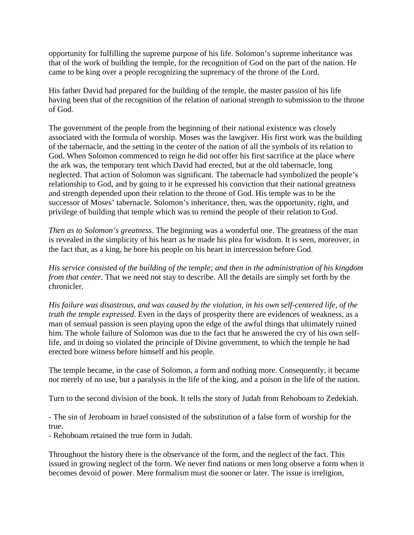opportunity for fulfilling the supreme purpose of his life. Solomon's supreme inheritance was that of the work of building the temple, for the recognition of God on the part of the nation. He came to be king over a people recognizing the supremacy of the throne of the Lord.

His father David had prepared for the building of the temple, the master passion of his life having been that of the recognition of the relation of national strength to submission to the throne of God.

The government of the people from the beginning of their national existence was closely associated with the formula of worship. Moses was the lawgiver. His first work was the building of the tabernacle, and the setting in the center of the nation of all the symbols of its relation to God. When Solomon commenced to reign he did not offer his first sacrifice at the place where the ark was, the temporary tent which David had erected, but at the old tabernacle, long neglected. That action of Solomon was significant. The tabernacle had symbolized the people's relationship to God, and by going to it he expressed his conviction that their national greatness and strength depended upon their relation to the throne of God. His temple was to be the successor of Moses' tabernacle. Solomon's inheritance, then, was the opportunity, right, and privilege of building that temple which was to remind the people of their relation to God.

*Then as to Solomon's greatness*. The beginning was a wonderful one. The greatness of the man is revealed in the simplicity of his heart as he made his plea for wisdom. It is seen, moreover, in the fact that, as a king, he bore his people on his heart in intercession before God.

*His service consisted of the building of the temple; and then in the administration of his kingdom from that center*. That we need not stay to describe. All the details are simply set forth by the chronicler.

*His failure was disastrous, and was caused by the violation, in his own self-centered life, of the truth the temple expressed*. Even in the days of prosperity there are evidences of weakness, as a man of sensual passion is seen playing upon the edge of the awful things that ultimately ruined him. The whole failure of Solomon was due to the fact that he answered the cry of his own selflife, and in doing so violated the principle of Divine government, to which the temple he had erected bore witness before himself and his people.

The temple became, in the case of Solomon, a form and nothing more. Consequently, it became not merely of no use, but a paralysis in the life of the king, and a poison in the life of the nation.

Turn to the second division of the book. It tells the story of Judah from Rehoboam to Zedekiah.

- The sin of Jeroboam in Israel consisted of the substitution of a false form of worship for the true.

- Rehoboam retained the true form in Judah.

Throughout the history there is the observance of the form, and the neglect of the fact. This issued in growing neglect of the form. We never find nations or men long observe a form when it becomes devoid of power. Mere formalism must die sooner or later. The issue is irreligion,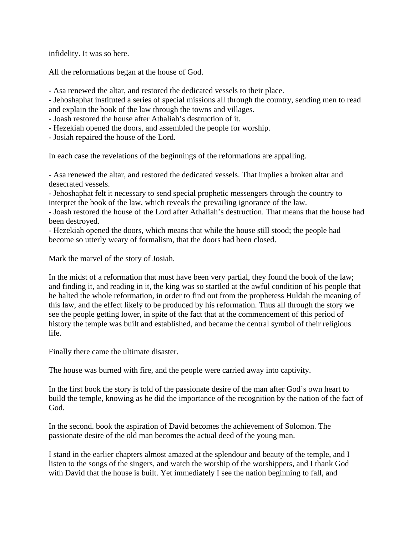infidelity. It was so here.

All the reformations began at the house of God.

- Asa renewed the altar, and restored the dedicated vessels to their place.

- Jehoshaphat instituted a series of special missions all through the country, sending men to read and explain the book of the law through the towns and villages.

- Joash restored the house after Athaliah's destruction of it.

- Hezekiah opened the doors, and assembled the people for worship.

- Josiah repaired the house of the Lord.

In each case the revelations of the beginnings of the reformations are appalling.

- Asa renewed the altar, and restored the dedicated vessels. That implies a broken altar and desecrated vessels.

- Jehoshaphat felt it necessary to send special prophetic messengers through the country to interpret the book of the law, which reveals the prevailing ignorance of the law.

- Joash restored the house of the Lord after Athaliah's destruction. That means that the house had been destroyed.

- Hezekiah opened the doors, which means that while the house still stood; the people had become so utterly weary of formalism, that the doors had been closed.

Mark the marvel of the story of Josiah.

In the midst of a reformation that must have been very partial, they found the book of the law; and finding it, and reading in it, the king was so startled at the awful condition of his people that he halted the whole reformation, in order to find out from the prophetess Huldah the meaning of this law, and the effect likely to be produced by his reformation. Thus all through the story we see the people getting lower, in spite of the fact that at the commencement of this period of history the temple was built and established, and became the central symbol of their religious life.

Finally there came the ultimate disaster.

The house was burned with fire, and the people were carried away into captivity.

In the first book the story is told of the passionate desire of the man after God's own heart to build the temple, knowing as he did the importance of the recognition by the nation of the fact of God.

In the second. book the aspiration of David becomes the achievement of Solomon. The passionate desire of the old man becomes the actual deed of the young man.

I stand in the earlier chapters almost amazed at the splendour and beauty of the temple, and I listen to the songs of the singers, and watch the worship of the worshippers, and I thank God with David that the house is built. Yet immediately I see the nation beginning to fall, and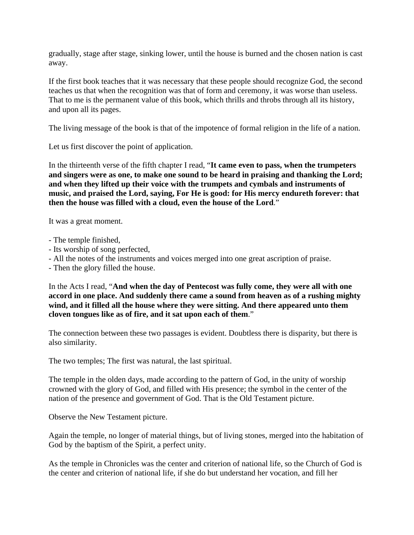gradually, stage after stage, sinking lower, until the house is burned and the chosen nation is cast away.

If the first book teaches that it was necessary that these people should recognize God, the second teaches us that when the recognition was that of form and ceremony, it was worse than useless. That to me is the permanent value of this book, which thrills and throbs through all its history, and upon all its pages.

The living message of the book is that of the impotence of formal religion in the life of a nation.

Let us first discover the point of application.

In the thirteenth verse of the fifth chapter I read, "**It came even to pass, when the trumpeters and singers were as one, to make one sound to be heard in praising and thanking the Lord; and when they lifted up their voice with the trumpets and cymbals and instruments of music, and praised the Lord, saying, For He is good: for His mercy endureth forever: that then the house was filled with a cloud, even the house of the Lord**."

It was a great moment.

- The temple finished,
- Its worship of song perfected,
- All the notes of the instruments and voices merged into one great ascription of praise.
- Then the glory filled the house.

In the Acts I read, "**And when the day of Pentecost was fully come, they were all with one accord in one place. And suddenly there came a sound from heaven as of a rushing mighty wind, and it filled all the house where they were sitting. And there appeared unto them cloven tongues like as of fire, and it sat upon each of them**."

The connection between these two passages is evident. Doubtless there is disparity, but there is also similarity.

The two temples; The first was natural, the last spiritual.

The temple in the olden days, made according to the pattern of God, in the unity of worship crowned with the glory of God, and filled with His presence; the symbol in the center of the nation of the presence and government of God. That is the Old Testament picture.

Observe the New Testament picture.

Again the temple, no longer of material things, but of living stones, merged into the habitation of God by the baptism of the Spirit, a perfect unity.

As the temple in Chronicles was the center and criterion of national life, so the Church of God is the center and criterion of national life, if she do but understand her vocation, and fill her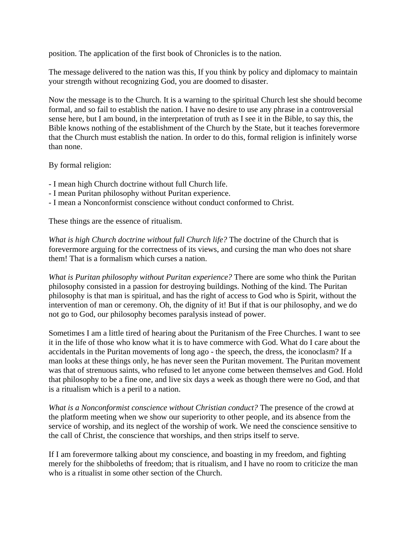position. The application of the first book of Chronicles is to the nation.

The message delivered to the nation was this, If you think by policy and diplomacy to maintain your strength without recognizing God, you are doomed to disaster.

Now the message is to the Church. It is a warning to the spiritual Church lest she should become formal, and so fail to establish the nation. I have no desire to use any phrase in a controversial sense here, but I am bound, in the interpretation of truth as I see it in the Bible, to say this, the Bible knows nothing of the establishment of the Church by the State, but it teaches forevermore that the Church must establish the nation. In order to do this, formal religion is infinitely worse than none.

By formal religion:

- I mean high Church doctrine without full Church life.
- I mean Puritan philosophy without Puritan experience.
- I mean a Nonconformist conscience without conduct conformed to Christ.

These things are the essence of ritualism.

*What is high Church doctrine without full Church life?* The doctrine of the Church that is forevermore arguing for the correctness of its views, and cursing the man who does not share them! That is a formalism which curses a nation.

*What is Puritan philosophy without Puritan experience?* There are some who think the Puritan philosophy consisted in a passion for destroying buildings. Nothing of the kind. The Puritan philosophy is that man is spiritual, and has the right of access to God who is Spirit, without the intervention of man or ceremony. Oh, the dignity of it! But if that is our philosophy, and we do not go to God, our philosophy becomes paralysis instead of power.

Sometimes I am a little tired of hearing about the Puritanism of the Free Churches. I want to see it in the life of those who know what it is to have commerce with God. What do I care about the accidentals in the Puritan movements of long ago - the speech, the dress, the iconoclasm? If a man looks at these things only, he has never seen the Puritan movement. The Puritan movement was that of strenuous saints, who refused to let anyone come between themselves and God. Hold that philosophy to be a fine one, and live six days a week as though there were no God, and that is a ritualism which is a peril to a nation.

*What is a Nonconformist conscience without Christian conduct?* The presence of the crowd at the platform meeting when we show our superiority to other people, and its absence from the service of worship, and its neglect of the worship of work. We need the conscience sensitive to the call of Christ, the conscience that worships, and then strips itself to serve.

If I am forevermore talking about my conscience, and boasting in my freedom, and fighting merely for the shibboleths of freedom; that is ritualism, and I have no room to criticize the man who is a ritualist in some other section of the Church.